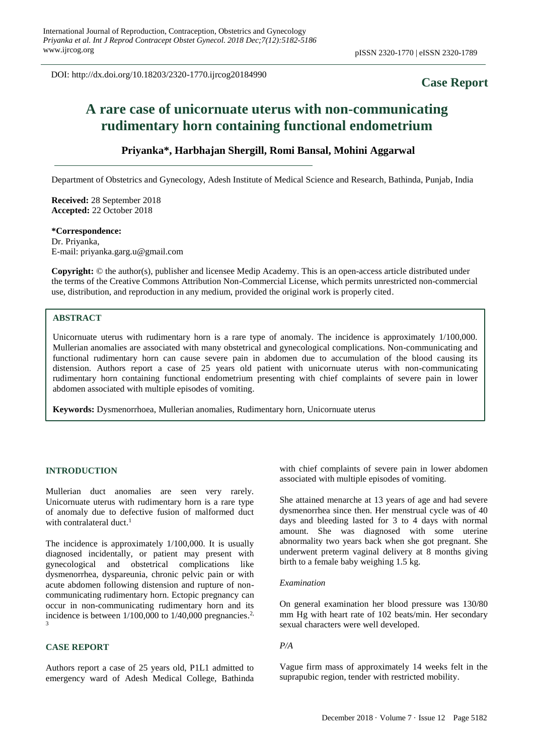DOI: http://dx.doi.org/10.18203/2320-1770.ijrcog20184990

# **Case Report**

# **A rare case of unicornuate uterus with non-communicating rudimentary horn containing functional endometrium**

# **Priyanka\*, Harbhajan Shergill, Romi Bansal, Mohini Aggarwal**

Department of Obstetrics and Gynecology, Adesh Institute of Medical Science and Research, Bathinda, Punjab, India

**Received:** 28 September 2018 **Accepted:** 22 October 2018

#### **\*Correspondence:** Dr. Priyanka,

E-mail: priyanka.garg.u@gmail.com

**Copyright:** © the author(s), publisher and licensee Medip Academy. This is an open-access article distributed under the terms of the Creative Commons Attribution Non-Commercial License, which permits unrestricted non-commercial use, distribution, and reproduction in any medium, provided the original work is properly cited.

# **ABSTRACT**

Unicornuate uterus with rudimentary horn is a rare type of anomaly. The incidence is approximately 1/100,000. Mullerian anomalies are associated with many obstetrical and gynecological complications. Non-communicating and functional rudimentary horn can cause severe pain in abdomen due to accumulation of the blood causing its distension. Authors report a case of 25 years old patient with unicornuate uterus with non-communicating rudimentary horn containing functional endometrium presenting with chief complaints of severe pain in lower abdomen associated with multiple episodes of vomiting.

**Keywords:** Dysmenorrhoea, Mullerian anomalies, Rudimentary horn, Unicornuate uterus

#### **INTRODUCTION**

Mullerian duct anomalies are seen very rarely. Unicornuate uterus with rudimentary horn is a rare type of anomaly due to defective fusion of malformed duct with contralateral duct.<sup>1</sup>

The incidence is approximately 1/100,000. It is usually diagnosed incidentally, or patient may present with gynecological and obstetrical complications like dysmenorrhea, dyspareunia, chronic pelvic pain or with acute abdomen following distension and rupture of noncommunicating rudimentary horn. Ectopic pregnancy can occur in non-communicating rudimentary horn and its incidence is between  $1/100,000$  to  $1/40,000$  pregnancies.<sup>2,</sup> 3

# **CASE REPORT**

Authors report a case of 25 years old, P1L1 admitted to emergency ward of Adesh Medical College, Bathinda with chief complaints of severe pain in lower abdomen associated with multiple episodes of vomiting.

She attained menarche at 13 years of age and had severe dysmenorrhea since then. Her menstrual cycle was of 40 days and bleeding lasted for 3 to 4 days with normal amount. She was diagnosed with some uterine abnormality two years back when she got pregnant. She underwent preterm vaginal delivery at 8 months giving birth to a female baby weighing 1.5 kg.

# *Examination*

On general examination her blood pressure was 130/80 mm Hg with heart rate of 102 beats/min. Her secondary sexual characters were well developed.

#### *P/A*

Vague firm mass of approximately 14 weeks felt in the suprapubic region, tender with restricted mobility.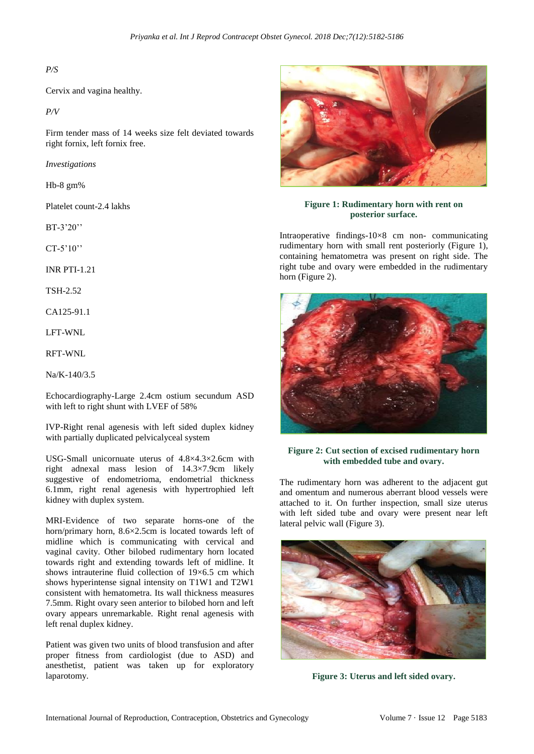# *P/S*

Cervix and vagina healthy.

*P/V*

Firm tender mass of 14 weeks size felt deviated towards right fornix, left fornix free.

*Investigations*

Hb-8 gm%

Platelet count-2.4 lakhs

BT-3'20''

CT-5'10''

INR PTI-1.21

TSH-2.52

CA125-91.1

LFT-WNL

RFT-WNL

Na/K-140/3.5

Echocardiography-Large 2.4cm ostium secundum ASD with left to right shunt with LVEF of 58%

IVP-Right renal agenesis with left sided duplex kidney with partially duplicated pelvicalyceal system

USG-Small unicornuate uterus of 4.8×4.3×2.6cm with right adnexal mass lesion of 14.3×7.9cm likely suggestive of endometrioma, endometrial thickness 6.1mm, right renal agenesis with hypertrophied left kidney with duplex system.

MRI-Evidence of two separate horns-one of the horn/primary horn, 8.6×2.5cm is located towards left of midline which is communicating with cervical and vaginal cavity. Other bilobed rudimentary horn located towards right and extending towards left of midline. It shows intrauterine fluid collection of 19×6.5 cm which shows hyperintense signal intensity on T1W1 and T2W1 consistent with hematometra. Its wall thickness measures 7.5mm. Right ovary seen anterior to bilobed horn and left ovary appears unremarkable. Right renal agenesis with left renal duplex kidney.

Patient was given two units of blood transfusion and after proper fitness from cardiologist (due to ASD) and anesthetist, patient was taken up for exploratory laparotomy.



# **Figure 1: Rudimentary horn with rent on posterior surface.**

Intraoperative findings-10×8 cm non- communicating rudimentary horn with small rent posteriorly (Figure 1), containing hematometra was present on right side. The right tube and ovary were embedded in the rudimentary horn (Figure 2).



## **Figure 2: Cut section of excised rudimentary horn with embedded tube and ovary.**

The rudimentary horn was adherent to the adjacent gut and omentum and numerous aberrant blood vessels were attached to it. On further inspection, small size uterus with left sided tube and ovary were present near left lateral pelvic wall (Figure 3).



**Figure 3: Uterus and left sided ovary.**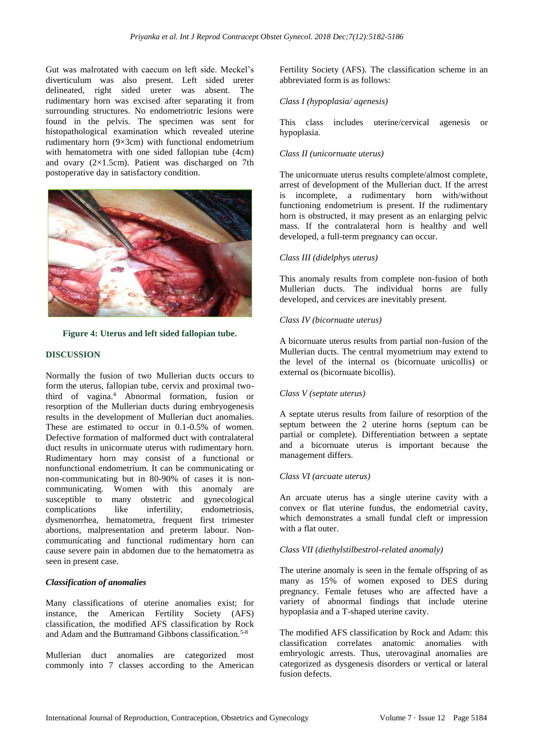Gut was malrotated with caecum on left side. Meckel's diverticulum was also present. Left sided ureter delineated, right sided ureter was absent. The rudimentary horn was excised after separating it from surrounding structures. No endometriotric lesions were found in the pelvis. The specimen was sent for histopathological examination which revealed uterine rudimentary horn (9×3cm) with functional endometrium with hematometra with one sided fallopian tube (4cm) and ovary (2×1.5cm). Patient was discharged on 7th postoperative day in satisfactory condition.





# **DISCUSSION**

Normally the fusion of two Mullerian ducts occurs to form the uterus, fallopian tube, cervix and proximal twothird of vagina. <sup>4</sup> Abnormal formation, fusion or resorption of the Mullerian ducts during embryogenesis results in the development of Mullerian duct anomalies. These are estimated to occur in 0.1-0.5% of women. Defective formation of malformed duct with contralateral duct results in unicornuate uterus with rudimentary horn. Rudimentary horn may consist of a functional or nonfunctional endometrium. It can be communicating or non-communicating but in 80-90% of cases it is noncommunicating. Women with this anomaly are susceptible to many obstetric and gynecological complications like infertility, endometriosis, dysmenorrhea, hematometra, frequent first trimester abortions, malpresentation and preterm labour. Noncommunicating and functional rudimentary horn can cause severe pain in abdomen due to the hematometra as seen in present case.

# *Classification of anomalies*

Many classifications of uterine anomalies exist; for instance, the American Fertility Society (AFS) classification, the modified AFS classification by Rock and Adam and the Buttramand Gibbons classification.<sup>5-8</sup>

Mullerian duct anomalies are categorized most commonly into 7 classes according to the American Fertility Society (AFS). The classification scheme in an abbreviated form is as follows:

#### *Class I (hypoplasia/ agenesis)*

This class includes uterine/cervical agenesis or hypoplasia.

# *Class II (unicornuate uterus)*

The unicornuate uterus results complete/almost complete, arrest of development of the Mullerian duct. If the arrest is incomplete, a rudimentary horn with/without functioning endometrium is present. If the rudimentary horn is obstructed, it may present as an enlarging pelvic mass. If the contralateral horn is healthy and well developed, a full-term pregnancy can occur.

#### *Class III (didelphys uterus)*

This anomaly results from complete non-fusion of both Mullerian ducts. The individual horns are fully developed, and cervices are inevitably present.

# *Class IV (bicornuate uterus)*

A bicornuate uterus results from partial non-fusion of the Mullerian ducts. The central myometrium may extend to the level of the internal os (bicornuate unicollis) or external os (bicornuate bicollis).

#### *Class V (septate uterus)*

A septate uterus results from failure of resorption of the septum between the 2 uterine horns (septum can be partial or complete). Differentiation between a septate and a bicornuate uterus is important because the management differs.

#### *Class VI (arcuate uterus)*

An arcuate uterus has a single uterine cavity with a convex or flat uterine fundus, the endometrial cavity, which demonstrates a small fundal cleft or impression with a flat outer.

#### *Class VII (diethylstilbestrol-related anomaly)*

The uterine anomaly is seen in the female offspring of as many as 15% of women exposed to DES during pregnancy. Female fetuses who are affected have a variety of abnormal findings that include uterine hypoplasia and a T-shaped uterine cavity.

The modified AFS classification by Rock and Adam: this classification correlates anatomic anomalies with embryologic arrests. Thus, uterovaginal anomalies are categorized as dysgenesis disorders or vertical or lateral fusion defects.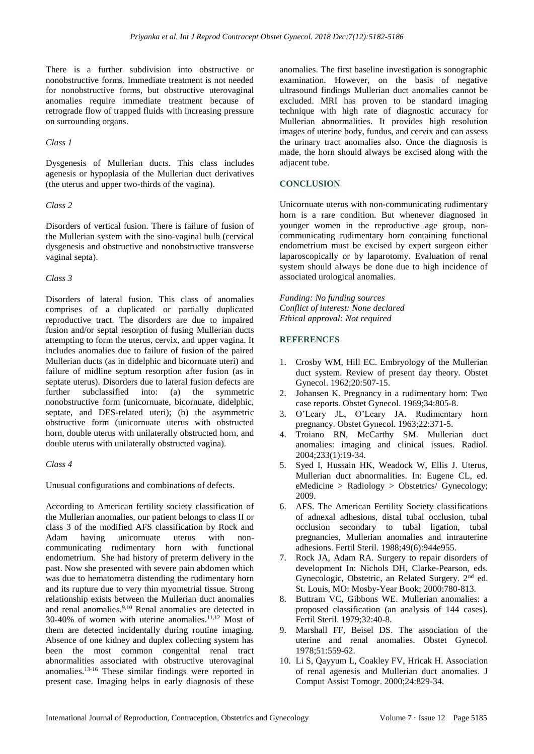There is a further subdivision into obstructive or nonobstructive forms. Immediate treatment is not needed for nonobstructive forms, but obstructive uterovaginal anomalies require immediate treatment because of retrograde flow of trapped fluids with increasing pressure on surrounding organs.

# *Class 1*

Dysgenesis of Mullerian ducts. This class includes agenesis or hypoplasia of the Mullerian duct derivatives (the uterus and upper two-thirds of the vagina).

# *Class 2*

Disorders of vertical fusion. There is failure of fusion of the Mullerian system with the sino-vaginal bulb (cervical dysgenesis and obstructive and nonobstructive transverse vaginal septa).

# *Class 3*

Disorders of lateral fusion. This class of anomalies comprises of a duplicated or partially duplicated reproductive tract. The disorders are due to impaired fusion and/or septal resorption of fusing Mullerian ducts attempting to form the uterus, cervix, and upper vagina. It includes anomalies due to failure of fusion of the paired Mullerian ducts (as in didelphic and bicornuate uteri) and failure of midline septum resorption after fusion (as in septate uterus). Disorders due to lateral fusion defects are further subclassified into: (a) the symmetric nonobstructive form (unicornuate, bicornuate, didelphic, septate, and DES-related uteri); (b) the asymmetric obstructive form (unicornuate uterus with obstructed horn, double uterus with unilaterally obstructed horn, and double uterus with unilaterally obstructed vagina).

#### *Class 4*

Unusual configurations and combinations of defects.

According to American fertility society classification of the Mullerian anomalies, our patient belongs to class II or class 3 of the modified AFS classification by Rock and Adam having unicornuate uterus with noncommunicating rudimentary horn with functional endometrium. She had history of preterm delivery in the past. Now she presented with severe pain abdomen which was due to hematometra distending the rudimentary horn and its rupture due to very thin myometrial tissue. Strong relationship exists between the Mullerian duct anomalies and renal anomalies. 9,10 Renal anomalies are detected in 30-40% of women with uterine anomalies. 11,12 Most of them are detected incidentally during routine imaging. Absence of one kidney and duplex collecting system has been the most common congenital renal tract abnormalities associated with obstructive uterovaginal anomalies. 13-16 These similar findings were reported in present case. Imaging helps in early diagnosis of these anomalies. The first baseline investigation is sonographic examination. However, on the basis of negative ultrasound findings Mullerian duct anomalies cannot be excluded. MRI has proven to be standard imaging technique with high rate of diagnostic accuracy for Mullerian abnormalities. It provides high resolution images of uterine body, fundus, and cervix and can assess the urinary tract anomalies also. Once the diagnosis is made, the horn should always be excised along with the adjacent tube.

# **CONCLUSION**

Unicornuate uterus with non-communicating rudimentary horn is a rare condition. But whenever diagnosed in younger women in the reproductive age group, noncommunicating rudimentary horn containing functional endometrium must be excised by expert surgeon either laparoscopically or by laparotomy. Evaluation of renal system should always be done due to high incidence of associated urological anomalies.

*Funding: No funding sources Conflict of interest: None declared Ethical approval: Not required* 

# **REFERENCES**

- 1. Crosby WM, Hill EC. Embryology of the Mullerian duct system. Review of present day theory. Obstet Gynecol. 1962;20:507-15.
- 2. Johansen K. Pregnancy in a rudimentary horn: Two case reports. Obstet Gynecol. 1969;34:805-8.
- 3. O'Leary JL, O'Leary JA. Rudimentary horn pregnancy. Obstet Gynecol. 1963;22:371-5.
- 4. Troiano RN, McCarthy SM. Mullerian duct anomalies: imaging and clinical issues. Radiol. 2004;233(1):19-34.
- 5. Syed I, Hussain HK, Weadock W, Ellis J. Uterus, Mullerian duct abnormalities. In: Eugene CL, ed. eMedicine > Radiology > Obstetrics/ Gynecology; 2009.
- 6. AFS. The American Fertility Society classifications of adnexal adhesions, distal tubal occlusion, tubal occlusion secondary to tubal ligation, tubal pregnancies, Mullerian anomalies and intrauterine adhesions. Fertil Steril. 1988;49(6):944e955.
- 7. Rock JA, Adam RA. Surgery to repair disorders of development In: Nichols DH, Clarke-Pearson, eds. Gynecologic, Obstetric, an Related Surgery. 2nd ed. St. Louis, MO: Mosby-Year Book; 2000:780-813.
- 8. Buttram VC, Gibbons WE. Mullerian anomalies: a proposed classification (an analysis of 144 cases). Fertil Steril. 1979;32:40-8.
- 9. Marshall FF, Beisel DS. The association of the uterine and renal anomalies. Obstet Gynecol. 1978;51:559-62.
- 10. Li S, Qayyum L, Coakley FV, Hricak H. Association of renal agenesis and Mullerian duct anomalies. J Comput Assist Tomogr. 2000;24:829-34.